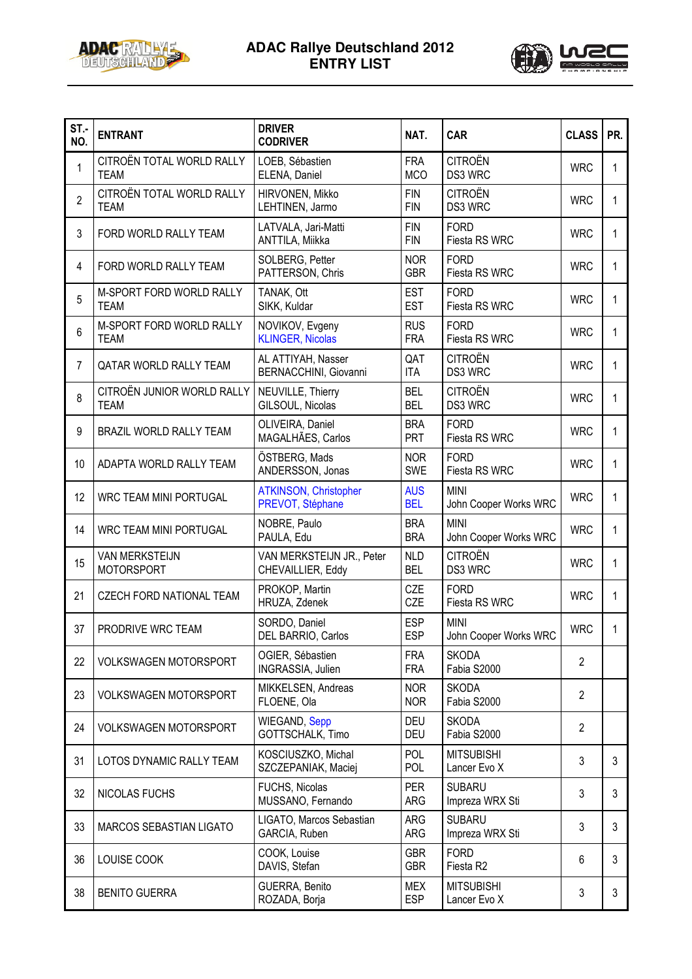

## **ADAC Rallye Deutschland 2012 ENTRY LIST**



| ST.-<br>NO.    | <b>ENTRANT</b>                             | <b>DRIVER</b><br><b>CODRIVER</b>                 | NAT.                     | <b>CAR</b>                           | <b>CLASS</b>   | PR.          |
|----------------|--------------------------------------------|--------------------------------------------------|--------------------------|--------------------------------------|----------------|--------------|
| 1              | CITROËN TOTAL WORLD RALLY<br><b>TEAM</b>   | LOEB, Sébastien<br>ELENA, Daniel                 | <b>FRA</b><br><b>MCO</b> | <b>CITROËN</b><br>DS3 WRC            | <b>WRC</b>     | 1            |
| $\overline{2}$ | CITROËN TOTAL WORLD RALLY<br><b>TEAM</b>   | HIRVONEN, Mikko<br>LEHTINEN, Jarmo               | <b>FIN</b><br><b>FIN</b> | <b>CITROËN</b><br>DS3 WRC            | <b>WRC</b>     | 1            |
| 3              | FORD WORLD RALLY TEAM                      | LATVALA, Jari-Matti<br>ANTTILA, Miikka           | <b>FIN</b><br><b>FIN</b> | <b>FORD</b><br>Fiesta RS WRC         | <b>WRC</b>     | 1            |
| 4              | FORD WORLD RALLY TEAM                      | SOLBERG, Petter<br>PATTERSON, Chris              | <b>NOR</b><br><b>GBR</b> | <b>FORD</b><br>Fiesta RS WRC         | <b>WRC</b>     | 1            |
| 5              | M-SPORT FORD WORLD RALLY<br><b>TEAM</b>    | TANAK, Ott<br>SIKK, Kuldar                       | <b>EST</b><br><b>EST</b> | <b>FORD</b><br>Fiesta RS WRC         | <b>WRC</b>     | $\mathbf{1}$ |
| 6              | M-SPORT FORD WORLD RALLY<br><b>TEAM</b>    | NOVIKOV, Evgeny<br><b>KLINGER, Nicolas</b>       | <b>RUS</b><br><b>FRA</b> | <b>FORD</b><br>Fiesta RS WRC         | <b>WRC</b>     | 1            |
| 7              | QATAR WORLD RALLY TEAM                     | AL ATTIYAH, Nasser<br>BERNACCHINI, Giovanni      | QAT<br><b>ITA</b>        | <b>CITROËN</b><br>DS3 WRC            | <b>WRC</b>     | 1            |
| 8              | CITROËN JUNIOR WORLD RALLY<br><b>TEAM</b>  | NEUVILLE, Thierry<br>GILSOUL, Nicolas            | <b>BEL</b><br><b>BEL</b> | <b>CITROËN</b><br>DS3 WRC            | <b>WRC</b>     | 1            |
| 9              | <b>BRAZIL WORLD RALLY TEAM</b>             | OLIVEIRA, Daniel<br>MAGALHÃES, Carlos            | <b>BRA</b><br>PRT        | <b>FORD</b><br>Fiesta RS WRC         | <b>WRC</b>     | $\mathbf{1}$ |
| 10             | ADAPTA WORLD RALLY TEAM                    | ÖSTBERG, Mads<br>ANDERSSON, Jonas                | <b>NOR</b><br><b>SWE</b> | <b>FORD</b><br>Fiesta RS WRC         | <b>WRC</b>     | 1            |
| 12             | <b>WRC TEAM MINI PORTUGAL</b>              | <b>ATKINSON, Christopher</b><br>PREVOT, Stéphane | <b>AUS</b><br><b>BEL</b> | <b>MINI</b><br>John Cooper Works WRC | <b>WRC</b>     | 1            |
| 14             | <b>WRC TEAM MINI PORTUGAL</b>              | NOBRE, Paulo<br>PAULA, Edu                       | <b>BRA</b><br><b>BRA</b> | <b>MINI</b><br>John Cooper Works WRC | <b>WRC</b>     | 1            |
| 15             | <b>VAN MERKSTEIJN</b><br><b>MOTORSPORT</b> | VAN MERKSTEIJN JR., Peter<br>CHEVAILLIER, Eddy   | <b>NLD</b><br><b>BEL</b> | <b>CITROËN</b><br>DS3 WRC            | <b>WRC</b>     | 1            |
| 21             | CZECH FORD NATIONAL TEAM                   | PROKOP, Martin<br>HRUZA, Zdenek                  | CZE<br>CZE               | <b>FORD</b><br>Fiesta RS WRC         | <b>WRC</b>     | 1            |
| 37             | PRODRIVE WRC TEAM                          | SORDO, Daniel<br>DEL BARRIO, Carlos              | <b>ESP</b><br>ESP        | <b>MINI</b><br>John Cooper Works WRC | <b>WRC</b>     | 1            |
| 22             | <b>VOLKSWAGEN MOTORSPORT</b>               | OGIER, Sébastien<br>INGRASSIA, Julien            | <b>FRA</b><br><b>FRA</b> | <b>SKODA</b><br>Fabia S2000          | $\overline{2}$ |              |
| 23             | <b>VOLKSWAGEN MOTORSPORT</b>               | MIKKELSEN, Andreas<br>FLOENE, Ola                | <b>NOR</b><br><b>NOR</b> | <b>SKODA</b><br>Fabia S2000          | $\overline{2}$ |              |
| 24             | <b>VOLKSWAGEN MOTORSPORT</b>               | WIEGAND, Sepp<br>GOTTSCHALK, Timo                | <b>DEU</b><br><b>DEU</b> | <b>SKODA</b><br>Fabia S2000          | $\overline{2}$ |              |
| 31             | LOTOS DYNAMIC RALLY TEAM                   | KOSCIUSZKO, Michal<br>SZCZEPANIAK, Maciej        | POL<br>POL               | <b>MITSUBISHI</b><br>Lancer Evo X    | 3              | 3            |
| 32             | NICOLAS FUCHS                              | FUCHS, Nicolas<br>MUSSANO, Fernando              | <b>PER</b><br>ARG        | <b>SUBARU</b><br>Impreza WRX Sti     | 3              | 3            |
| 33             | MARCOS SEBASTIAN LIGATO                    | LIGATO, Marcos Sebastian<br>GARCIA, Ruben        | ARG<br>ARG               | <b>SUBARU</b><br>Impreza WRX Sti     | 3              | 3            |
| 36             | LOUISE COOK                                | COOK, Louise<br>DAVIS, Stefan                    | <b>GBR</b><br><b>GBR</b> | <b>FORD</b><br>Fiesta R2             | 6              | 3            |
| 38             | <b>BENITO GUERRA</b>                       | GUERRA, Benito<br>ROZADA, Borja                  | <b>MEX</b><br><b>ESP</b> | <b>MITSUBISHI</b><br>Lancer Evo X    | 3              | 3            |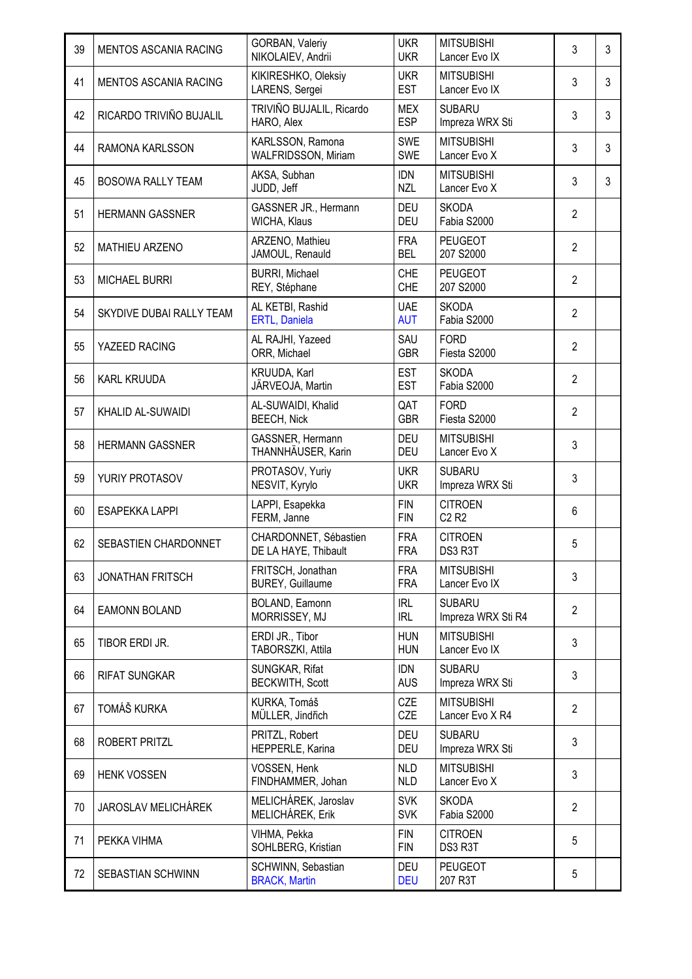| 39 | MENTOS ASCANIA RACING        | GORBAN, Valeriy<br>NIKOLAIEV, Andrii          | <b>UKR</b><br><b>UKR</b> | <b>MITSUBISHI</b><br>Lancer Evo IX              | 3              | 3 |
|----|------------------------------|-----------------------------------------------|--------------------------|-------------------------------------------------|----------------|---|
| 41 | <b>MENTOS ASCANIA RACING</b> | KIKIRESHKO, Oleksiy<br>LARENS, Sergei         | <b>UKR</b><br><b>EST</b> | <b>MITSUBISHI</b><br>Lancer Evo IX              | 3              | 3 |
| 42 | RICARDO TRIVIÑO BUJALIL      | TRIVIÑO BUJALIL, Ricardo<br>HARO, Alex        | <b>MEX</b><br><b>ESP</b> | <b>SUBARU</b><br>Impreza WRX Sti                | 3              | 3 |
| 44 | RAMONA KARLSSON              | KARLSSON, Ramona<br>WALFRIDSSON, Miriam       | <b>SWE</b><br><b>SWE</b> | <b>MITSUBISHI</b><br>Lancer Evo X               | 3              | 3 |
| 45 | <b>BOSOWA RALLY TEAM</b>     | AKSA, Subhan<br>JUDD, Jeff                    | <b>IDN</b><br><b>NZL</b> | <b>MITSUBISHI</b><br>Lancer Evo X               | 3              | 3 |
| 51 | <b>HERMANN GASSNER</b>       | GASSNER JR., Hermann<br>WICHA, Klaus          | <b>DEU</b><br><b>DEU</b> | <b>SKODA</b><br>Fabia S2000                     | $\overline{2}$ |   |
| 52 | <b>MATHIEU ARZENO</b>        | ARZENO, Mathieu<br>JAMOUL, Renauld            | <b>FRA</b><br><b>BEL</b> | <b>PEUGEOT</b><br>207 S2000                     | $\overline{2}$ |   |
| 53 | <b>MICHAEL BURRI</b>         | <b>BURRI, Michael</b><br>REY, Stéphane        | <b>CHE</b><br><b>CHE</b> | <b>PEUGEOT</b><br>207 S2000                     | $\overline{2}$ |   |
| 54 | SKYDIVE DUBAI RALLY TEAM     | AL KETBI, Rashid<br>ERTL, Daniela             | <b>UAE</b><br><b>AUT</b> | <b>SKODA</b><br>Fabia S2000                     | $\overline{2}$ |   |
| 55 | YAZEED RACING                | AL RAJHI, Yazeed<br>ORR, Michael              | SAU<br><b>GBR</b>        | <b>FORD</b><br>Fiesta S2000                     | $\overline{2}$ |   |
| 56 | <b>KARL KRUUDA</b>           | KRUUDA, Karl<br>JÄRVEOJA, Martin              | <b>EST</b><br><b>EST</b> | <b>SKODA</b><br>Fabia S2000                     | $\overline{2}$ |   |
| 57 | KHALID AL-SUWAIDI            | AL-SUWAIDI, Khalid<br><b>BEECH, Nick</b>      | QAT<br><b>GBR</b>        | <b>FORD</b><br>Fiesta S2000                     | $\overline{2}$ |   |
| 58 | <b>HERMANN GASSNER</b>       | GASSNER, Hermann<br>THANNHÄUSER, Karin        | <b>DEU</b><br><b>DEU</b> | <b>MITSUBISHI</b><br>Lancer Evo X               | 3              |   |
| 59 | YURIY PROTASOV               | PROTASOV, Yuriy<br>NESVIT, Kyrylo             | <b>UKR</b><br><b>UKR</b> | <b>SUBARU</b><br>Impreza WRX Sti                | 3              |   |
| 60 | <b>ESAPEKKA LAPPI</b>        | LAPPI, Esapekka<br>FERM, Janne                | <b>FIN</b><br><b>FIN</b> | <b>CITROEN</b><br>C <sub>2</sub> R <sub>2</sub> | 6              |   |
| 62 | SEBASTIEN CHARDONNET         | CHARDONNET, Sébastien<br>DE LA HAYE, Thibault | <b>FRA</b><br><b>FRA</b> | <b>CITROEN</b><br>DS3 R3T                       | 5              |   |
| 63 | <b>JONATHAN FRITSCH</b>      | FRITSCH, Jonathan<br><b>BUREY, Guillaume</b>  | <b>FRA</b><br><b>FRA</b> | <b>MITSUBISHI</b><br>Lancer Evo IX              | 3              |   |
| 64 | <b>EAMONN BOLAND</b>         | BOLAND, Eamonn<br>MORRISSEY, MJ               | <b>IRL</b><br><b>IRL</b> | <b>SUBARU</b><br>Impreza WRX Sti R4             | $\overline{2}$ |   |
| 65 | TIBOR ERDI JR.               | ERDI JR., Tibor<br>TABORSZKI, Attila          | <b>HUN</b><br><b>HUN</b> | <b>MITSUBISHI</b><br>Lancer Evo IX              | 3              |   |
| 66 | <b>RIFAT SUNGKAR</b>         | SUNGKAR, Rifat<br><b>BECKWITH, Scott</b>      | <b>IDN</b><br><b>AUS</b> | <b>SUBARU</b><br>Impreza WRX Sti                | 3              |   |
| 67 | TOMÁŠ KURKA                  | KURKA, Tomáš<br>MÜLLER, Jindřich              | CZE<br>CZE               | <b>MITSUBISHI</b><br>Lancer Evo X R4            | $\overline{2}$ |   |
| 68 | <b>ROBERT PRITZL</b>         | PRITZL, Robert<br>HEPPERLE, Karina            | <b>DEU</b><br><b>DEU</b> | <b>SUBARU</b><br>Impreza WRX Sti                | 3              |   |
| 69 | <b>HENK VOSSEN</b>           | VOSSEN, Henk<br>FINDHAMMER, Johan             | <b>NLD</b><br><b>NLD</b> | <b>MITSUBISHI</b><br>Lancer Evo X               | 3              |   |
| 70 | JAROSLAV MELICHÁREK          | MELICHÁREK, Jaroslav<br>MELICHÁREK, Erik      | <b>SVK</b><br><b>SVK</b> | <b>SKODA</b><br>Fabia S2000                     | $\overline{2}$ |   |
| 71 | PEKKA VIHMA                  | VIHMA, Pekka<br>SOHLBERG, Kristian            | <b>FIN</b><br><b>FIN</b> | <b>CITROEN</b><br>DS3 R3T                       | 5              |   |
| 72 | <b>SEBASTIAN SCHWINN</b>     | SCHWINN, Sebastian<br><b>BRACK, Martin</b>    | <b>DEU</b><br><b>DEU</b> | <b>PEUGEOT</b><br>207 R3T                       | 5              |   |